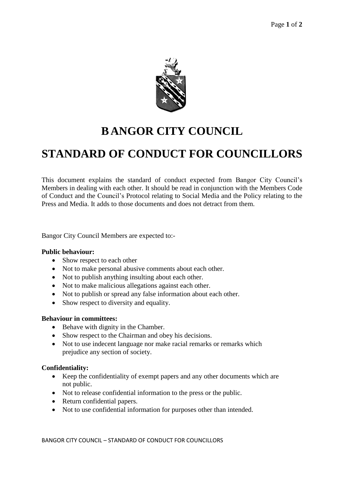

# **B ANGOR CITY COUNCIL**

# **STANDARD OF CONDUCT FOR COUNCILLORS**

This document explains the standard of conduct expected from Bangor City Council's Members in dealing with each other. It should be read in conjunction with the Members Code of Conduct and the Council's Protocol relating to Social Media and the Policy relating to the Press and Media. It adds to those documents and does not detract from them.

Bangor City Council Members are expected to:-

### **Public behaviour:**

- Show respect to each other
- Not to make personal abusive comments about each other.
- Not to publish anything insulting about each other.
- Not to make malicious allegations against each other.
- Not to publish or spread any false information about each other.
- Show respect to diversity and equality.

### **Behaviour in committees:**

- Behave with dignity in the Chamber.
- Show respect to the Chairman and obey his decisions.
- Not to use indecent language nor make racial remarks or remarks which prejudice any section of society.

### **Confidentiality:**

- Keep the confidentiality of exempt papers and any other documents which are not public.
- Not to release confidential information to the press or the public.
- Return confidential papers.
- Not to use confidential information for purposes other than intended.

BANGOR CITY COUNCIL – STANDARD OF CONDUCT FOR COUNCILLORS